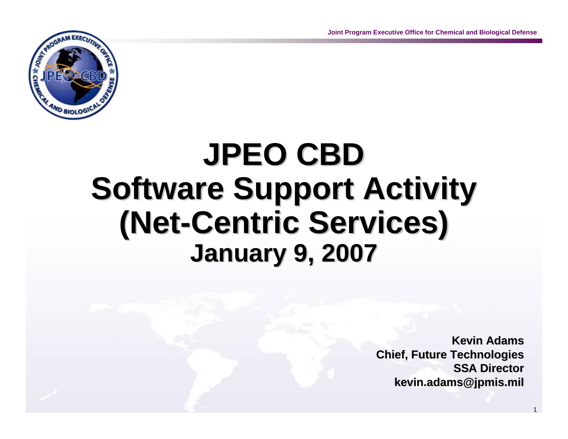

# **JPEO CBD JPEO CBD Software Support Activity (Net-Centric Services) January 9, 2007 January 9, 2007**

**Kevin Adams Kevin AdamsChief, Future Technologies Chief, Future Technologies SSA Director SSA Directorkevin.adams@jpmis.mil kevin.adams@jpmis.mil**

1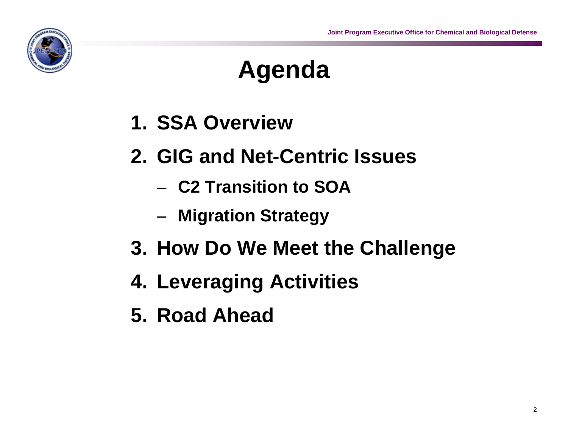

# **Agenda**

- **1. SSA Overview**
- **2. GIG and Net-Centric Issues**
	- **C2 Transition to SOA**
	- **Migration Strategy**
- **3. How Do We Meet the Challenge**
- **4. Leveraging Activities**
- **5. Road Ahead**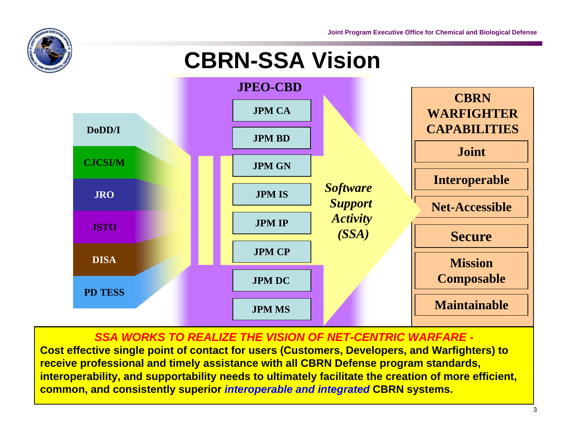

## **CBRN-SSA Vision**



#### *SSA WORKS TO REALIZE THE VISION OF NET-CENTRIC WARFARE -*

**Cost effective single point of contact for users (Customers, Developers, and Warfighters) to receive professional and timely assistance with all CBRN Defense program standards, interoperability, and supportability needs to ultimately facilitate the creation of more efficient, common, and consistently superior** *interoperable and integrated* **CBRN systems.**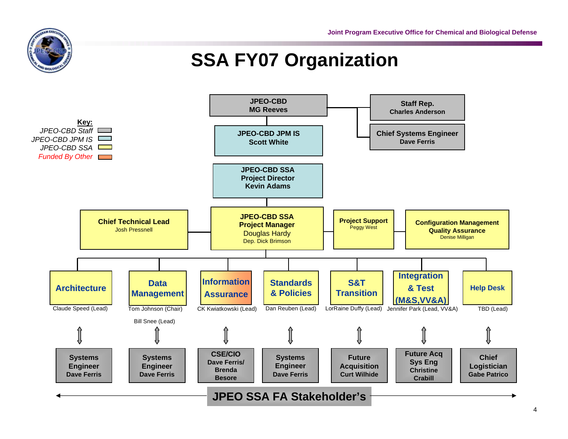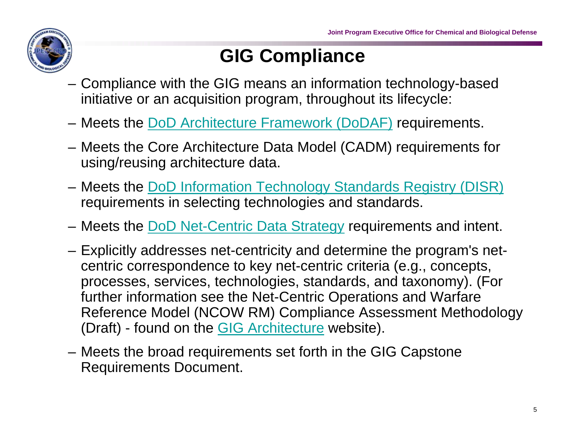

### **GIG Compliance**

- Compliance with the GIG means an information technology-based initiative or an acquisition program, throughout its lifecycle:
- Meets the [DoD Architecture Framework \(DoDAF\)](http://www.defenselink.mil/nii/doc/DoDAF_v1_Volume_I.pdf) requirements.
- Meets the Core Architecture Data Model (CADM) requirements for using/reusing architecture data.
- Meets the [DoD Information Technology Standards Registry \(DISR\)](https://disronline.disa.mil/DISR/index.jsp)  requirements in selecting technologies and standards.
- Meets the [DoD Net-Centric Data Strategy](http://www.defenselink.mil/nii/org/cio/doc/Net-Centric-Data-Strategy-2003-05-092.pdf) requirements and intent.
- Explicitly addresses net-centricity and determine the program's netcentric correspondence to key net-centric criteria (e.g., concepts, processes, services, technologies, standards, and taxonomy). (For further information see the Net-Centric Operations and Warfare Reference Model (NCOW RM) Compliance Assessment Methodology (Draft) - found on the [GIG Architecture w](https://disain.disa.mil/ncow.html)ebsite).
- Meets the broad requirements set forth in the GIG Capstone Requirements Document.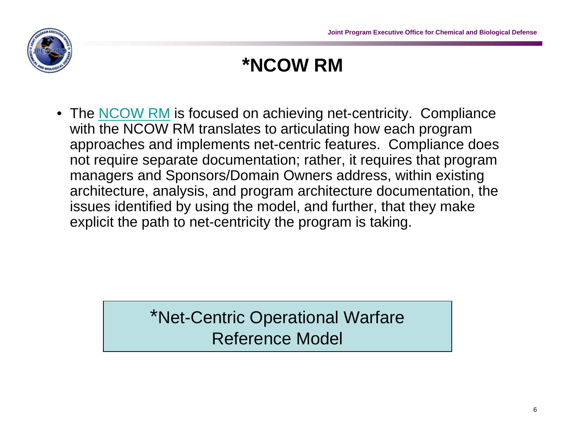

### **\*NCOW RM**

• The [NCOW RM](http://www.deskbook.osd.mil/dag/GuideBook/IG_c7.2.1.4.asp) is focused on achieving net-centricity. Compliance with the NCOW RM translates to articulating how each program approaches and implements net-centric features. Compliance does not require separate documentation; rather, it requires that program managers and Sponsors/Domain Owners address, within existing architecture, analysis, and program architecture documentation, the issues identified by using the model, and further, that they make explicit the path to net-centricity the program is taking.

### \*Net-Centric Operational Warfare Reference Model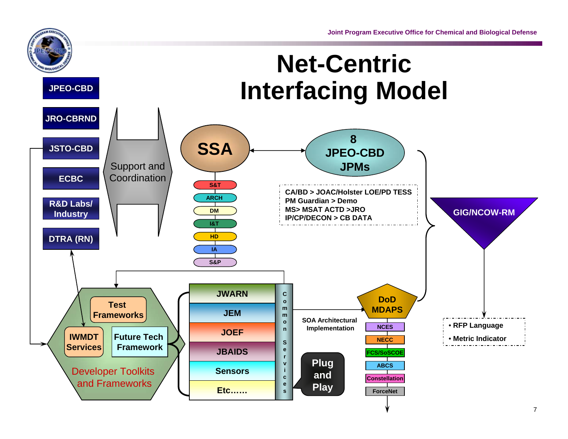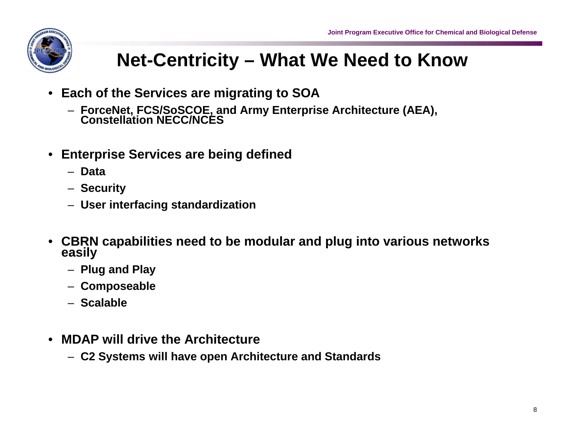

### **Net-Centricity – What We Need to Know**

- **Each of the Services are migrating to SOA**
	- **ForceNet, FCS/SoSCOE, and Army Enterprise Architecture (AEA), Constellation NECC/NCES**
- **Enterprise Services are being defined** 
	- **Data**
	- **Security**
	- **User interfacing standardization**
- **CBRN capabilities need to be modular and plug into various networks easily** 
	- **Plug and Play**
	- **Composeable**
	- **Scalable**
- **MDAP will drive the Architecture**
	- **C2 Systems will have open Architecture and Standards**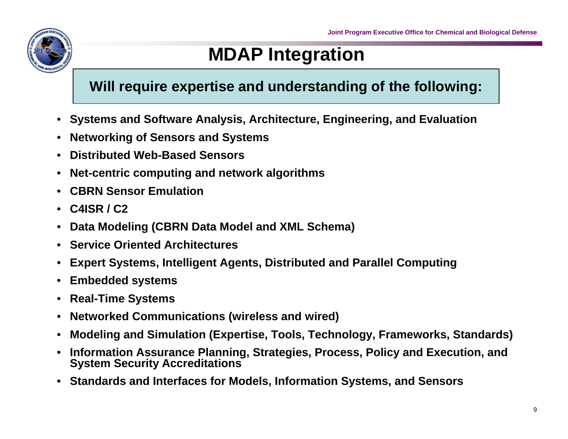

### **MDAP Integration**

### **Will require expertise and understanding of the following:**

- **Systems and Software Analysis, Architecture, Engineering, and Evaluation**
- **Networking of Sensors and Systems**
- **Distributed Web-Based Sensors**
- **Net-centric computing and network algorithms**
- **CBRN Sensor Emulation**
- **C4ISR / C2**
- **Data Modeling (CBRN Data Model and XML Schema)**
- **Service Oriented Architectures**
- **Expert Systems, Intelligent Agents, Distributed and Parallel Computing**
- **Embedded systems**
- **Real-Time Systems**
- **Networked Communications (wireless and wired)**
- **Modeling and Simulation (Expertise, Tools, Technology, Frameworks, Standards)**
- **Information Assurance Planning, Strategies, Process, Policy and Execution, and System Security Accreditations**
- **Standards and Interfaces for Models, Information Systems, and Sensors**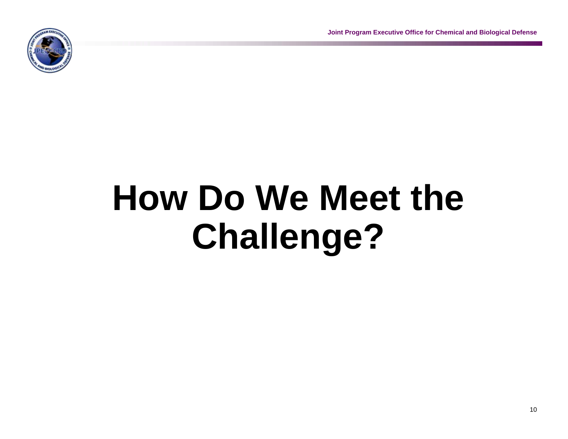**Joint Program Executive Office for Chemical and Biological Defense**



# **How Do We Meet the Challenge?**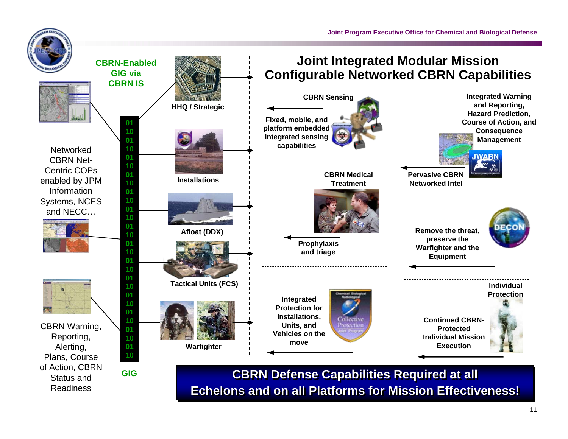



**Networked** CBRN Net-Centric COPs enabled by JPM Information Systems, NCES and NECC…





CBRN Warning, Reporting, Alerting, Plans, Course of Action, CBRN Status and Readiness



**Echelons and on all Platforms for Mission Effectiveness!Echelons and on all Platforms for Mission Effectiveness!**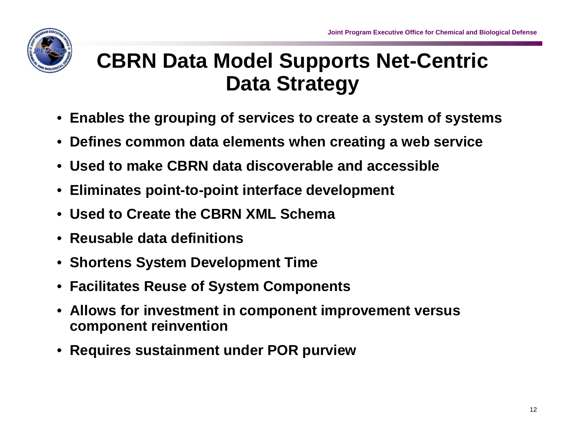

## **CBRN Data Model Supports Net-Centric Data Strategy**

- **Enables the grouping of services to create a system of systems**
- **Defines common data elements when creating a web service**
- **Used to make CBRN data discoverable and accessible**
- **Eliminates point-to-point interface development**
- **Used to Create the CBRN XML Schema**
- **Reusable data definitions**
- **Shortens System Development Time**
- **Facilitates Reuse of System Components**
- **Allows for investment in component improvement versus component reinvention**
- **Requires sustainment under POR purview**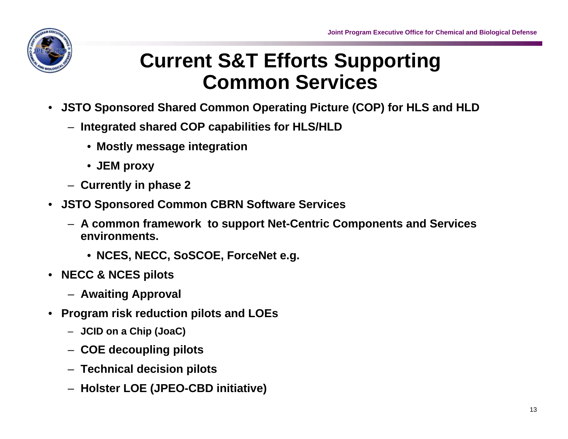![](_page_12_Picture_1.jpeg)

### **Current S&T Efforts Supporting Common Services**

- **JSTO Sponsored Shared Common Operating Picture (COP) for HLS and HLD**
	- **Integrated shared COP capabilities for HLS/HLD** 
		- **Mostly message integration**
		- **JEM proxy**
	- **Currently in phase 2**
- **JSTO Sponsored Common CBRN Software Services**
	- **A common framework to support Net-Centric Components and Services environments.**
		- **NCES, NECC, SoSCOE, ForceNet e.g.**
- **NECC & NCES pilots**
	- **Awaiting Approval**
- **Program risk reduction pilots and LOEs**
	- **JCID on a Chip (JoaC)**
	- **COE decoupling pilots**
	- **Technical decision pilots**
	- **Holster LOE (JPEO-CBD initiative)**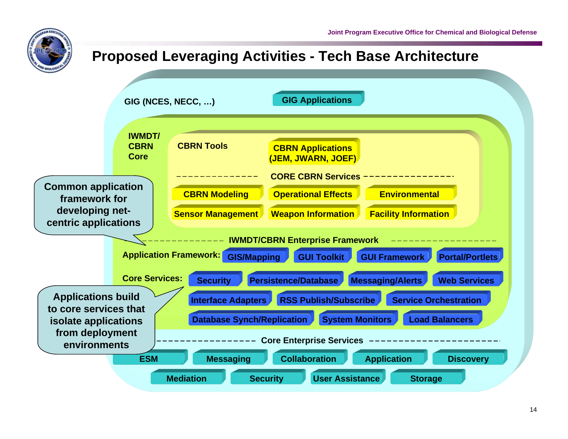![](_page_13_Picture_0.jpeg)

#### **GIG (NCES, NECC, …) IWMDT/CBRN CoreCBRN Tools CBRN Applications (JEM, JWARN, JOEF) ESMOperational Effects Environmental Sensor Management Weapon Information Facility Information CollaborationApplication Discovery Security VISer Assistance Assistance Storage CBRN Modeling MediationMessaging GIG Applications CORE CBRN ServicesCore Enterprise Services GUI ToolkitSecurity GIS/Mapping Application Framework: GUI FrameworkIWMDT/CBRN Enterprise Framework Core Services: Persistence/Database Messaging/Alerts Portal/PortletsWeb Services Interface Adapters RSS Publish/Subscribe Service Orchestration Database Synch/Replication System Monitors Load Balancers Common application framework for developing netcentric applications Applications build to core services that isolate applications from deployment environmentsProposed Leveraging Activities - Tech Base Architecture**

**Joint Program Executive Office for Chemical and Biological Defense**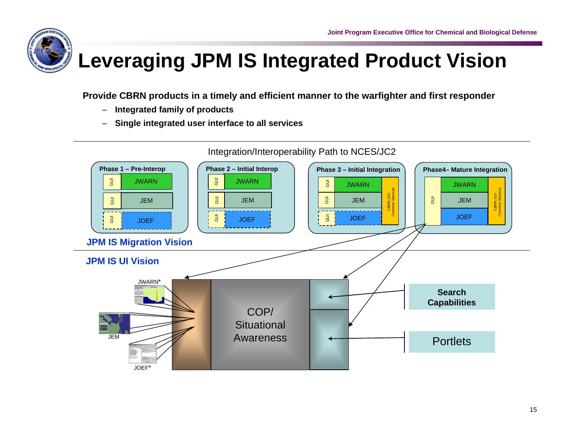![](_page_14_Picture_1.jpeg)

# **Leveraging JPM IS Integrated Product Vision**

**Provide CBRN products in a timely and efficient manner to the warfighter and first responder**

- **Integrated family of products**
- **Single integrated user interface to all services**

![](_page_14_Figure_6.jpeg)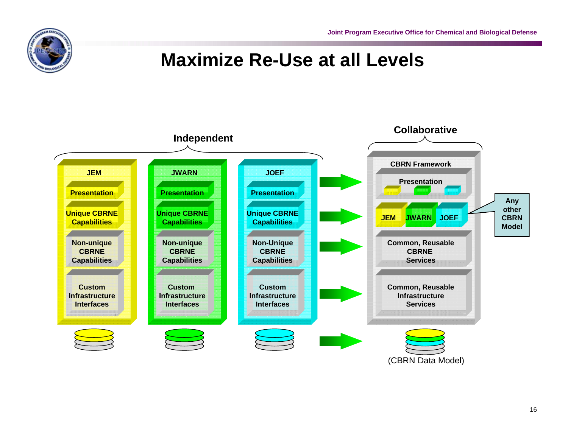**Joint Program Executive Office for Chemical and Biological Defense**

![](_page_15_Picture_1.jpeg)

### **Maximize Re-Use at all Levels**

![](_page_15_Figure_3.jpeg)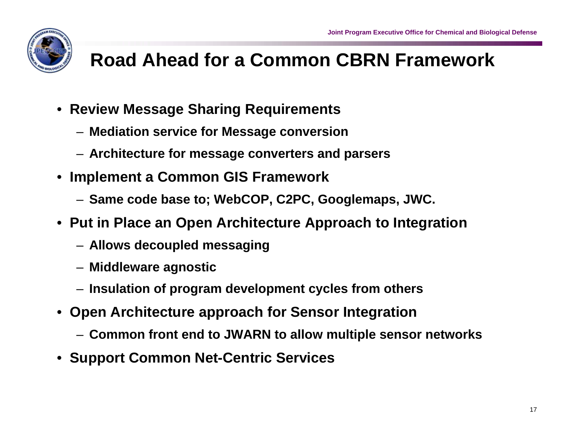![](_page_16_Picture_1.jpeg)

# **Road Ahead for a Common CBRN Framework**

- **Review Message Sharing Requirements**
	- **Mediation service for Message conversion**
	- **Architecture for message converters and parsers**
- **Implement a Common GIS Framework**
	- **Same code base to; WebCOP, C2PC, Googlemaps, JWC.**
- **Put in Place an Open Architecture Approach to Integration**
	- **Allows decoupled messaging**
	- **Middleware agnostic**
	- **Insulation of program development cycles from others**
- **Open Architecture approach for Sensor Integration**
	- **Common front end to JWARN to allow multiple sensor networks**
- **Support Common Net-Centric Services**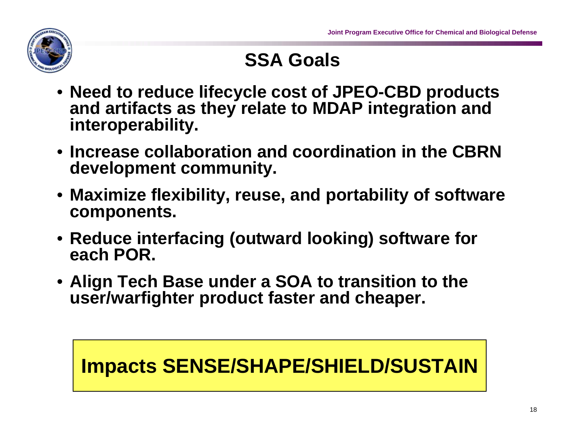![](_page_17_Picture_1.jpeg)

### **SSA Goals**

- **Need to reduce lifecycle cost of JPEO-CBD products and artifacts as they relate to MDAP integration and interoperability.**
- **Increase collaboration and coordination in the CBRN development community.**
- **Maximize flexibility, reuse, and portability of software components.**
- **Reduce interfacing (outward looking) software for each POR.**
- **Align Tech Base under a SOA to transition to the user/warfighter product faster and cheaper.**

### **Impacts SENSE/SHAPE/SHIELD/SUSTAIN**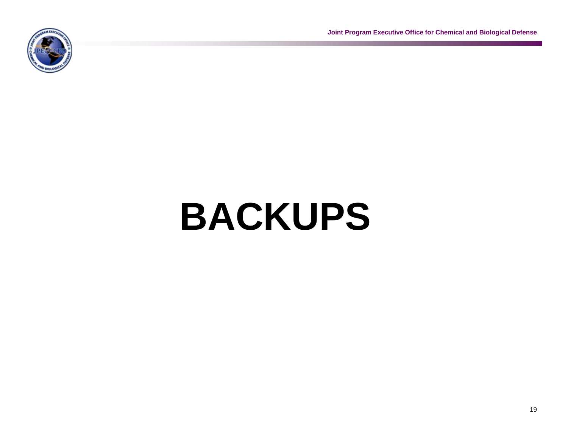**Joint Program Executive Office for Chemical and Biological Defense**

![](_page_18_Picture_1.jpeg)

# **BACKUPS**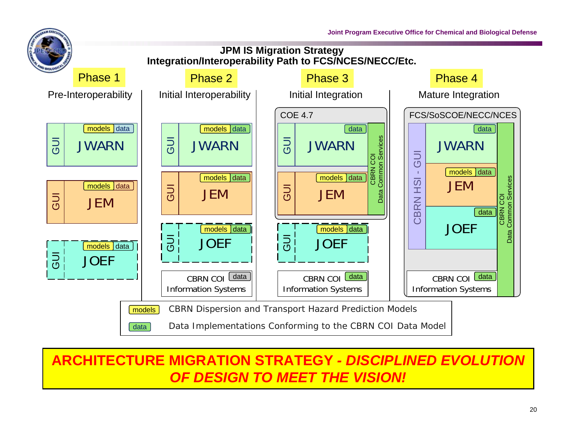**Joint Program Executive Office for Chemical and Biological Defense**

![](_page_19_Figure_1.jpeg)

### **ARCHITECTURE MIGRATION STRATEGY** *- DISCIPLINED EVOLUTION OF DESIGN TO MEET THE VISION!*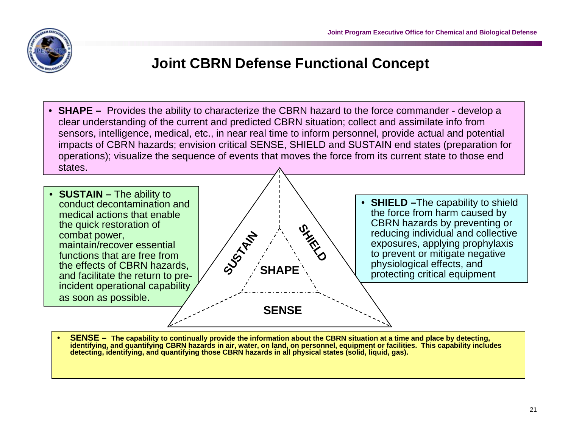![](_page_20_Picture_1.jpeg)

### **Joint CBRN Defense Functional Concept**

• **SHAPE –** Provides the ability to characterize the CBRN hazard to the force commander - develop a clear understanding of the current and predicted CBRN situation; collect and assimilate info from sensors, intelligence, medical, etc., in near real time to inform personnel, provide actual and potential impacts of CBRN hazards; envision critical SENSE, SHIELD and SUSTAIN end states (preparation for operations); visualize the sequence of events that moves the force from its current state to those end states.

![](_page_20_Figure_4.jpeg)

• **SENSE – The capability to continually provide the information about the CBRN situation at a time and place by detecting, identifying, and quantifying CBRN hazards in air, water, on land, on personnel, equipment or facilities. This capability includes detecting, identifying, and quantifying those CBRN hazards in all physical states (solid, liquid, gas).**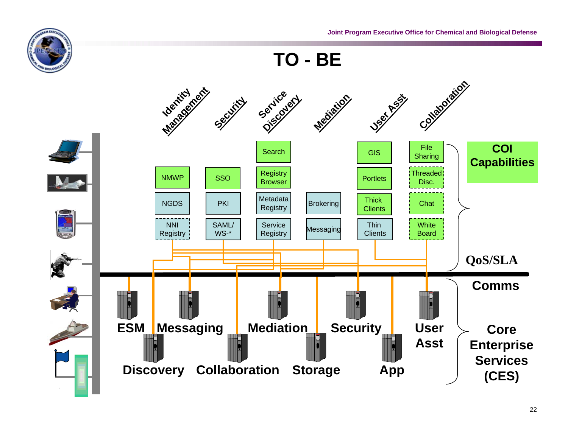![](_page_21_Picture_0.jpeg)

**TO - BE**

![](_page_21_Figure_3.jpeg)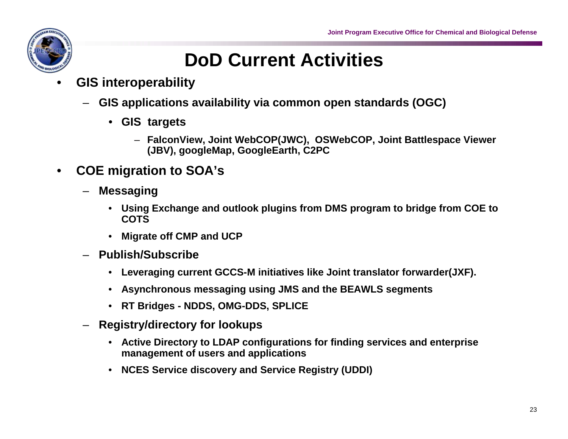![](_page_22_Picture_1.jpeg)

### **DoD Current Activities**

- **GIS interoperability**
	- **GIS applications availability via common open standards (OGC)**
		- **GIS targets**
			- **FalconView, Joint WebCOP(JWC), OSWebCOP, Joint Battlespace Viewer (JBV), googleMap, GoogleEarth, C2PC**
- **COE migration to SOA's**
	- **Messaging**
		- **Using Exchange and outlook plugins from DMS program to bridge from COE to COTS**
		- **Migrate off CMP and UCP**
	- **Publish/Subscribe**
		- **Leveraging current GCCS-M initiatives like Joint translator forwarder(JXF).**
		- **Asynchronous messaging using JMS and the BEAWLS segments**
		- **RT Bridges NDDS, OMG-DDS, SPLICE**
	- **Registry/directory for lookups**
		- **Active Directory to LDAP configurations for finding services and enterprise management of users and applications**
		- **NCES Service discovery and Service Registry (UDDI)**